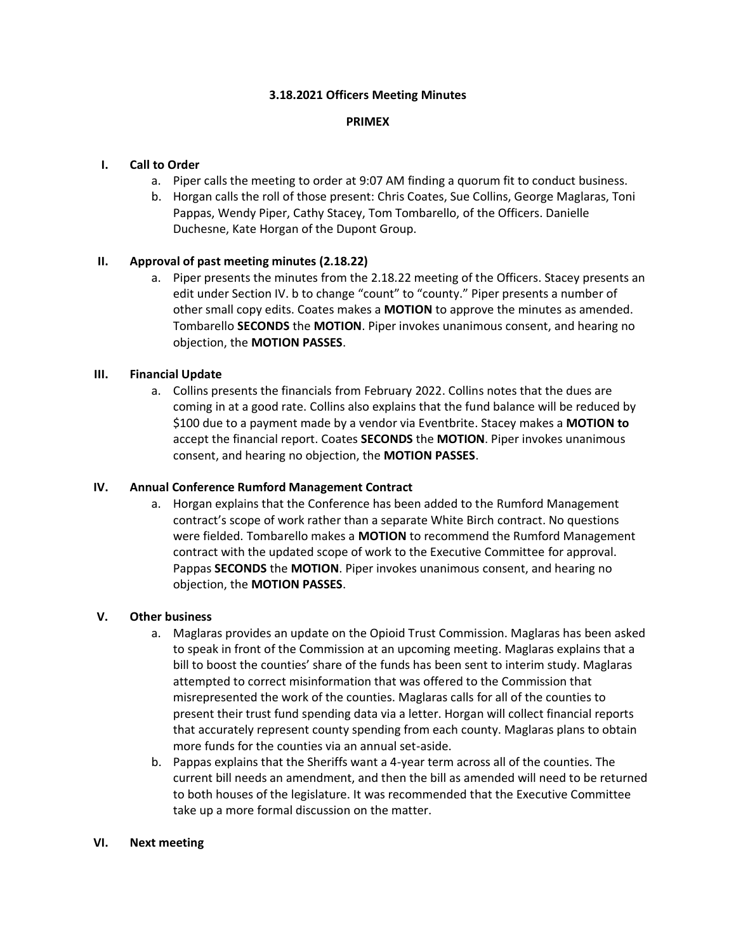#### **3.18.2021 Officers Meeting Minutes**

#### **PRIMEX**

### **I. Call to Order**

- a. Piper calls the meeting to order at 9:07 AM finding a quorum fit to conduct business.
- b. Horgan calls the roll of those present: Chris Coates, Sue Collins, George Maglaras, Toni Pappas, Wendy Piper, Cathy Stacey, Tom Tombarello, of the Officers. Danielle Duchesne, Kate Horgan of the Dupont Group.

### **II. Approval of past meeting minutes (2.18.22)**

a. Piper presents the minutes from the 2.18.22 meeting of the Officers. Stacey presents an edit under Section IV. b to change "count" to "county." Piper presents a number of other small copy edits. Coates makes a **MOTION** to approve the minutes as amended. Tombarello **SECONDS** the **MOTION**. Piper invokes unanimous consent, and hearing no objection, the **MOTION PASSES**.

# **III. Financial Update**

a. Collins presents the financials from February 2022. Collins notes that the dues are coming in at a good rate. Collins also explains that the fund balance will be reduced by \$100 due to a payment made by a vendor via Eventbrite. Stacey makes a **MOTION to** accept the financial report. Coates **SECONDS** the **MOTION**. Piper invokes unanimous consent, and hearing no objection, the **MOTION PASSES**.

### **IV. Annual Conference Rumford Management Contract**

a. Horgan explains that the Conference has been added to the Rumford Management contract's scope of work rather than a separate White Birch contract. No questions were fielded. Tombarello makes a **MOTION** to recommend the Rumford Management contract with the updated scope of work to the Executive Committee for approval. Pappas **SECONDS** the **MOTION**. Piper invokes unanimous consent, and hearing no objection, the **MOTION PASSES**.

### **V. Other business**

- a. Maglaras provides an update on the Opioid Trust Commission. Maglaras has been asked to speak in front of the Commission at an upcoming meeting. Maglaras explains that a bill to boost the counties' share of the funds has been sent to interim study. Maglaras attempted to correct misinformation that was offered to the Commission that misrepresented the work of the counties. Maglaras calls for all of the counties to present their trust fund spending data via a letter. Horgan will collect financial reports that accurately represent county spending from each county. Maglaras plans to obtain more funds for the counties via an annual set-aside.
- b. Pappas explains that the Sheriffs want a 4-year term across all of the counties. The current bill needs an amendment, and then the bill as amended will need to be returned to both houses of the legislature. It was recommended that the Executive Committee take up a more formal discussion on the matter.

### **VI. Next meeting**